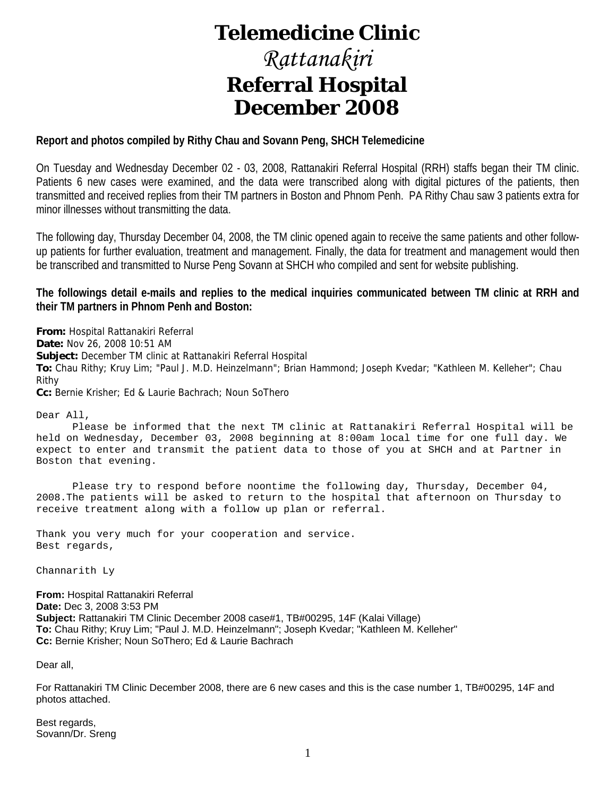## **Telemedicine Clinic**

## *Rattanakiri*  **Referral Hospital December 2008**

### **Report and photos compiled by Rithy Chau and Sovann Peng, SHCH Telemedicine**

On Tuesday and Wednesday December 02 - 03, 2008, Rattanakiri Referral Hospital (RRH) staffs began their TM clinic. Patients 6 new cases were examined, and the data were transcribed along with digital pictures of the patients, then transmitted and received replies from their TM partners in Boston and Phnom Penh. PA Rithy Chau saw 3 patients extra for minor illnesses without transmitting the data.

The following day, Thursday December 04, 2008, the TM clinic opened again to receive the same patients and other followup patients for further evaluation, treatment and management. Finally, the data for treatment and management would then be transcribed and transmitted to Nurse Peng Sovann at SHCH who compiled and sent for website publishing.

### **The followings detail e-mails and replies to the medical inquiries communicated between TM clinic at RRH and their TM partners in Phnom Penh and Boston:**

**From:** Hospital Rattanakiri Referral **Date:** Nov 26, 2008 10:51 AM **Subject:** December TM clinic at Rattanakiri Referral Hospital **To:** Chau Rithy; Kruy Lim; "Paul J. M.D. Heinzelmann"; Brian Hammond; Joseph Kvedar; "Kathleen M. Kelleher"; Chau Rithy **Cc:** Bernie Krisher; Ed & Laurie Bachrach; Noun SoThero

Dear All,

 Please be informed that the next TM clinic at Rattanakiri Referral Hospital will be held on Wednesday, December 03, 2008 beginning at 8:00am local time for one full day. We expect to enter and transmit the patient data to those of you at SHCH and at Partner in Boston that evening.

 Please try to respond before noontime the following day, Thursday, December 04, 2008.The patients will be asked to return to the hospital that afternoon on Thursday to receive treatment along with a follow up plan or referral.

Thank you very much for your cooperation and service. Best regards,

Channarith Ly

**From:** Hospital Rattanakiri Referral **Date:** Dec 3, 2008 3:53 PM **Subject:** Rattanakiri TM Clinic December 2008 case#1, TB#00295, 14F (Kalai Village) **To:** Chau Rithy; Kruy Lim; "Paul J. M.D. Heinzelmann"; Joseph Kvedar; "Kathleen M. Kelleher" **Cc:** Bernie Krisher; Noun SoThero; Ed & Laurie Bachrach

Dear all,

For Rattanakiri TM Clinic December 2008, there are 6 new cases and this is the case number 1, TB#00295, 14F and photos attached.

Best regards, Sovann/Dr. Sreng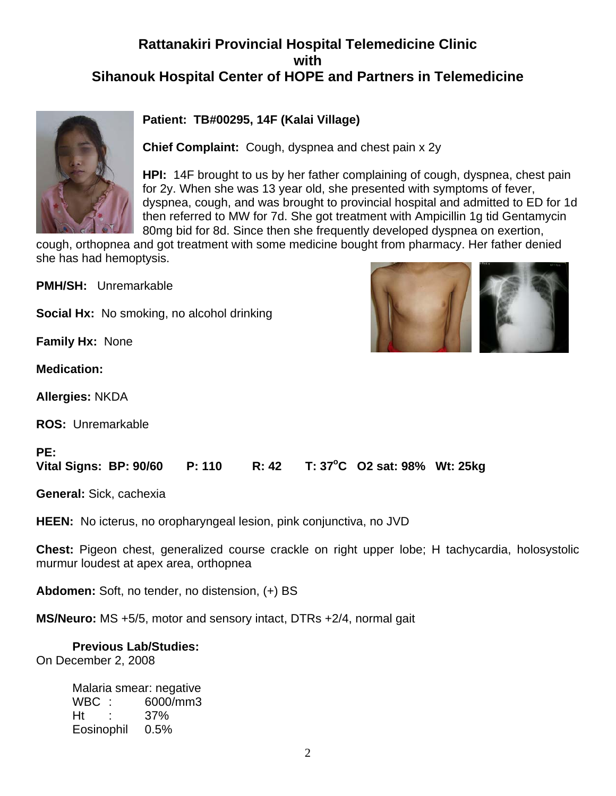### **Rattanakiri Provincial Hospital Telemedicine Clinic with Sihanouk Hospital Center of HOPE and Partners in Telemedicine**



### **Patient: TB#00295, 14F (Kalai Village)**

**Chief Complaint:** Cough, dyspnea and chest pain x 2y

**HPI:** 14F brought to us by her father complaining of cough, dyspnea, chest pain for 2y. When she was 13 year old, she presented with symptoms of fever, dyspnea, cough, and was brought to provincial hospital and admitted to ED for 1d then referred to MW for 7d. She got treatment with Ampicillin 1g tid Gentamycin 80mg bid for 8d. Since then she frequently developed dyspnea on exertion,

cough, orthopnea and got treatment with some medicine bought from pharmacy. Her father denied she has had hemoptysis.

**PMH/SH:** Unremarkable

**Social Hx:** No smoking, no alcohol drinking

**Family Hx:** None

**Medication:**

**PE:** 

**Allergies:** NKDA

**ROS:** Unremarkable



#### **Vital Signs: BP: 90/60 P: 110 R: 42 C O2 sat: 98% Wt: 25kg**

**General:** Sick, cachexia

**HEEN:** No icterus, no oropharyngeal lesion, pink conjunctiva, no JVD

**Chest:** Pigeon chest, generalized course crackle on right upper lobe; H tachycardia, holosystolic murmur loudest at apex area, orthopnea

**Abdomen:** Soft, no tender, no distension, (+) BS

**MS/Neuro:** MS +5/5, motor and sensory intact, DTRs +2/4, normal gait

#### **Previous Lab/Studies:**

On December 2, 2008

Malaria smear: negative WBC : 6000/mm3 Ht : 37% Eosinophil 0.5%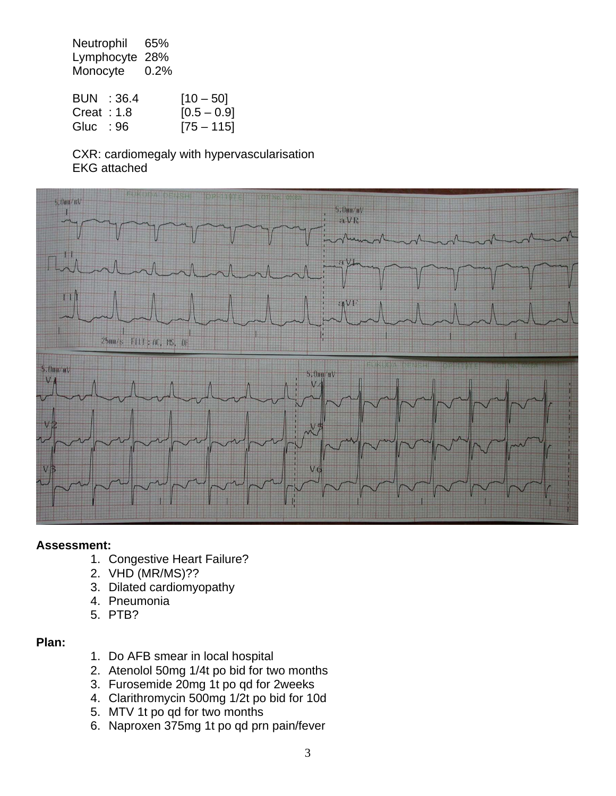Neutrophil 65% Lymphocyte 28% Monocyte 0.2%

|               | BUN : 36.4 | $[10 - 50]$   |
|---------------|------------|---------------|
| Creat : $1.8$ |            | $[0.5 - 0.9]$ |
| Gluc : 96     |            | $[75 - 115]$  |

 CXR: cardiomegaly with hypervascularisation EKG attached



### **Assessment:**

- 1. Congestive Heart Failure?
- 2. VHD (MR/MS)??
- 3. Dilated cardiomyopathy
- 4. Pneumonia
- 5. PTB?

### **Plan:**

- 1. Do AFB smear in local hospital
- 2. Atenolol 50mg 1/4t po bid for two months
- 3. Furosemide 20mg 1t po qd for 2weeks
- 4. Clarithromycin 500mg 1/2t po bid for 10d
- 5. MTV 1t po qd for two months
- 6. Naproxen 375mg 1t po qd prn pain/fever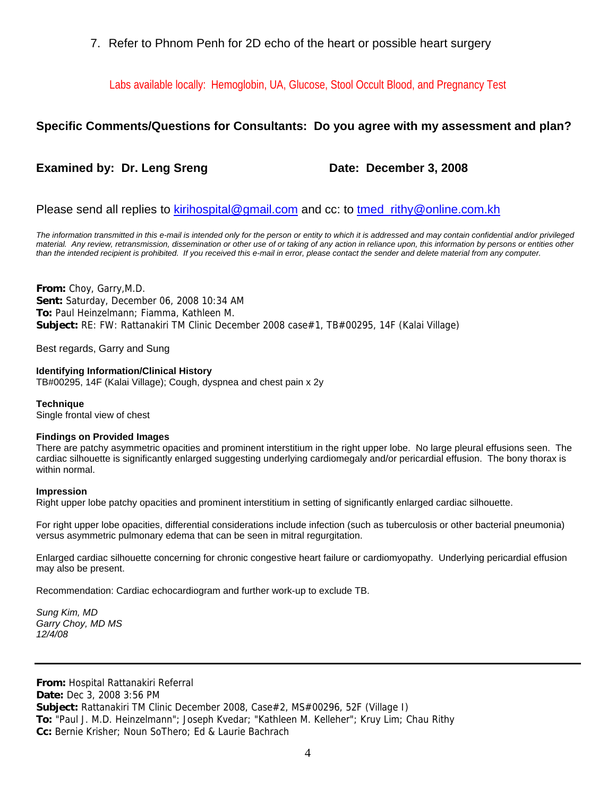7. Refer to Phnom Penh for 2D echo of the heart or possible heart surgery

Labs available locally: Hemoglobin, UA, Glucose, Stool Occult Blood, and Pregnancy Test

### **Specific Comments/Questions for Consultants: Do you agree with my assessment and plan?**

### **Examined by: Dr. Leng Sreng Date: December 3, 2008**

#### Please send all replies to [kirihospital@gmail.com](mailto:kirihospital@gmail.com) and cc: to [tmed\\_rithy@online.com.kh](mailto:tmed_rithy@bigpond.com.kh)

*The information transmitted in this e-mail is intended only for the person or entity to which it is addressed and may contain confidential and/or privileged*  material. Any review, retransmission, dissemination or other use of or taking of any action in reliance upon, this information by persons or entities other *than the intended recipient is prohibited. If you received this e-mail in error, please contact the sender and delete material from any computer.*

**From:** Choy, Garry,M.D. **Sent:** Saturday, December 06, 2008 10:34 AM **To:** Paul Heinzelmann; Fiamma, Kathleen M. **Subject:** RE: FW: Rattanakiri TM Clinic December 2008 case#1, TB#00295, 14F (Kalai Village)

Best regards, Garry and Sung

**Identifying Information/Clinical History** TB#00295, 14F (Kalai Village); Cough, dyspnea and chest pain x 2y

**Technique** Single frontal view of chest

#### **Findings on Provided Images**

There are patchy asymmetric opacities and prominent interstitium in the right upper lobe. No large pleural effusions seen. The cardiac silhouette is significantly enlarged suggesting underlying cardiomegaly and/or pericardial effusion. The bony thorax is within normal.

#### **Impression**

Right upper lobe patchy opacities and prominent interstitium in setting of significantly enlarged cardiac silhouette.

For right upper lobe opacities, differential considerations include infection (such as tuberculosis or other bacterial pneumonia) versus asymmetric pulmonary edema that can be seen in mitral regurgitation.

Enlarged cardiac silhouette concerning for chronic congestive heart failure or cardiomyopathy. Underlying pericardial effusion may also be present.

Recommendation: Cardiac echocardiogram and further work-up to exclude TB.

*Sung Kim, MD Garry Choy, MD MS 12/4/08* 

**From:** Hospital Rattanakiri Referral **Date:** Dec 3, 2008 3:56 PM **Subject:** Rattanakiri TM Clinic December 2008, Case#2, MS#00296, 52F (Village I) **To:** "Paul J. M.D. Heinzelmann"; Joseph Kvedar; "Kathleen M. Kelleher"; Kruy Lim; Chau Rithy **Cc:** Bernie Krisher; Noun SoThero; Ed & Laurie Bachrach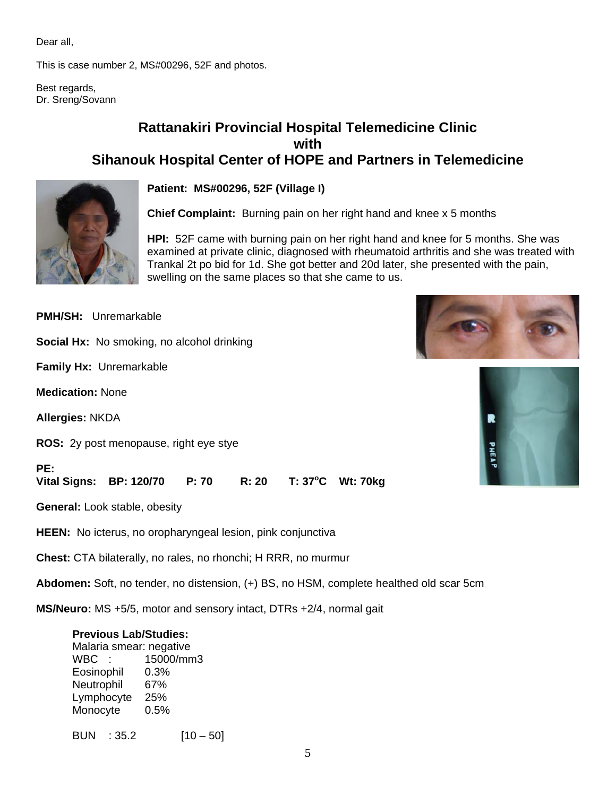Dear all,

This is case number 2, MS#00296, 52F and photos.

Best regards, Dr. Sreng/Sovann

### **Rattanakiri Provincial Hospital Telemedicine Clinic with Sihanouk Hospital Center of HOPE and Partners in Telemedicine**



**Patient: MS#00296, 52F (Village I)**

**Chief Complaint:** Burning pain on her right hand and knee x 5 months

**HPI:** 52F came with burning pain on her right hand and knee for 5 months. She was examined at private clinic, diagnosed with rheumatoid arthritis and she was treated with Trankal 2t po bid for 1d. She got better and 20d later, she presented with the pain, swelling on the same places so that she came to us.

**PMH/SH:** Unremarkable

**Social Hx:** No smoking, no alcohol drinking

**Family Hx:** Unremarkable

**Medication:** None

**Allergies:** NKDA

**ROS:** 2y post menopause, right eye stye

**PE:** 

Vital Signs: BP: 120/70 P: 70 R: 20 **T: 37°C Wt: 70kg** 

**General:** Look stable, obesity

**HEEN:** No icterus, no oropharyngeal lesion, pink conjunctiva

**Chest:** CTA bilaterally, no rales, no rhonchi; H RRR, no murmur

**Abdomen:** Soft, no tender, no distension, (+) BS, no HSM, complete healthed old scar 5cm

**MS/Neuro:** MS +5/5, motor and sensory intact, DTRs +2/4, normal gait

#### **Previous Lab/Studies:**

 Malaria smear: negative WBC : 15000/mm3 Eosinophil 0.3% Neutrophil 67% Lymphocyte 25% Monocyte 0.5%

BUN :  $35.2$  [10 – 50]



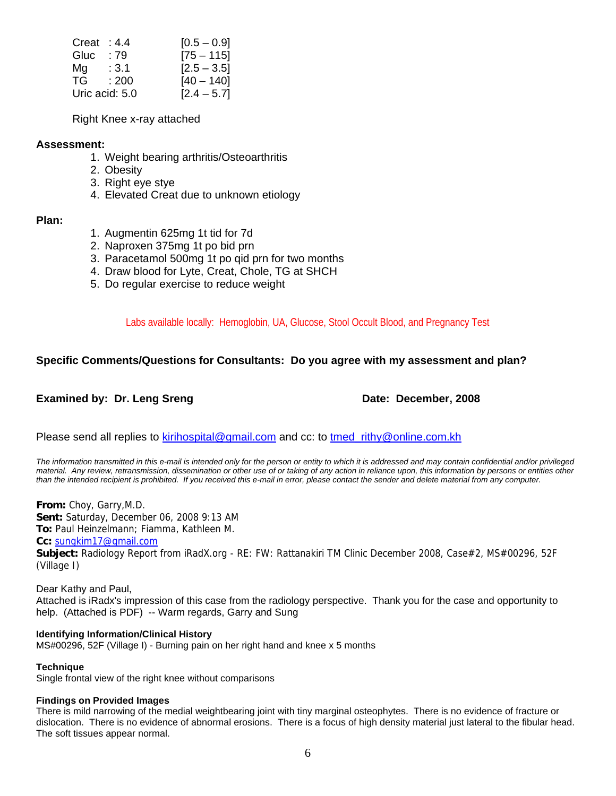| Creat: $4.4$   |       | $[0.5 - 0.9]$ |
|----------------|-------|---------------|
| Gluc           | : 79  | $[75 - 115]$  |
| Mg             | :3.1  | $[2.5 - 3.5]$ |
| TG.            | : 200 | $[40 - 140]$  |
| Uric acid: 5.0 |       | $[2.4 - 5.7]$ |

Right Knee x-ray attached

#### **Assessment:**

- 1. Weight bearing arthritis/Osteoarthritis
- 2. Obesity
- 3. Right eye stye
- 4. Elevated Creat due to unknown etiology

#### **Plan:**

- 1. Augmentin 625mg 1t tid for 7d
- 2. Naproxen 375mg 1t po bid prn
- 3. Paracetamol 500mg 1t po qid prn for two months
- 4. Draw blood for Lyte, Creat, Chole, TG at SHCH
- 5. Do regular exercise to reduce weight

Labs available locally: Hemoglobin, UA, Glucose, Stool Occult Blood, and Pregnancy Test

#### **Specific Comments/Questions for Consultants: Do you agree with my assessment and plan?**

#### **Examined by: Dr. Leng Sreng Date: December, 2008**

Please send all replies to [kirihospital@gmail.com](mailto:kirihospital@gmail.com) and cc: to tmed rithy@online.com.kh

*The information transmitted in this e-mail is intended only for the person or entity to which it is addressed and may contain confidential and/or privileged material. Any review, retransmission, dissemination or other use of or taking of any action in reliance upon, this information by persons or entities other than the intended recipient is prohibited. If you received this e-mail in error, please contact the sender and delete material from any computer.*

**From:** Choy, Garry,M.D. **Sent:** Saturday, December 06, 2008 9:13 AM

**To:** Paul Heinzelmann; Fiamma, Kathleen M.

#### **Cc:** [sungkim17@gmail.com](mailto:sungkim17@gmail.com)

**Subject:** Radiology Report from iRadX.org - RE: FW: Rattanakiri TM Clinic December 2008, Case#2, MS#00296, 52F (Village I)

Dear Kathy and Paul, Attached is iRadx's impression of this case from the radiology perspective. Thank you for the case and opportunity to help. (Attached is PDF) -- Warm regards, Garry and Sung

#### **Identifying Information/Clinical History**

MS#00296, 52F (Village I) - Burning pain on her right hand and knee x 5 months

#### **Technique**

Single frontal view of the right knee without comparisons

#### **Findings on Provided Images**

There is mild narrowing of the medial weightbearing joint with tiny marginal osteophytes. There is no evidence of fracture or dislocation. There is no evidence of abnormal erosions. There is a focus of high density material just lateral to the fibular head. The soft tissues appear normal.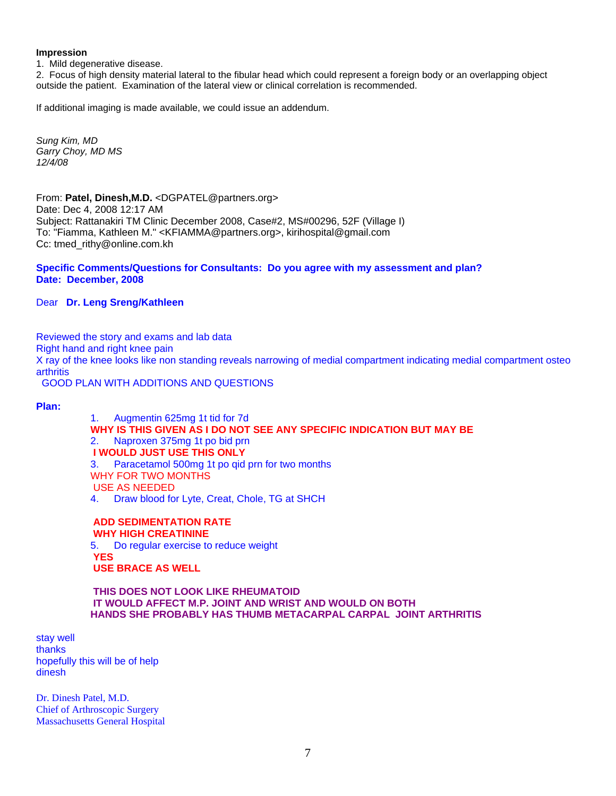#### **Impression**

1. Mild degenerative disease.

2. Focus of high density material lateral to the fibular head which could represent a foreign body or an overlapping object outside the patient. Examination of the lateral view or clinical correlation is recommended.

If additional imaging is made available, we could issue an addendum.

*Sung Kim, MD Garry Choy, MD MS 12/4/08*

From: **Patel, Dinesh,M.D.** <DGPATEL@partners.org> Date: Dec 4, 2008 12:17 AM Subject: Rattanakiri TM Clinic December 2008, Case#2, MS#00296, 52F (Village I) To: "Fiamma, Kathleen M." <KFIAMMA@partners.org>, kirihospital@gmail.com Cc: tmed\_rithy@online.com.kh

#### **Specific Comments/Questions for Consultants: Do you agree with my assessment and plan? Date: December, 2008**

Dear **Dr. Leng Sreng/Kathleen** 

Reviewed the story and exams and lab data Right hand and right knee pain X ray of the knee looks like non standing reveals narrowing of medial compartment indicating medial compartment osteo **arthritis** GOOD PLAN WITH ADDITIONS AND QUESTIONS

**Plan:** 

1. Augmentin 625mg 1t tid for 7d **WHY IS THIS GIVEN AS I DO NOT SEE ANY SPECIFIC INDICATION BUT MAY BE** 2. Naproxen 375mg 1t po bid prn  **I WOULD JUST USE THIS ONLY** 3. Paracetamol 500mg 1t po qid prn for two months WHY FOR TWO MONTHS USE AS NEEDED

4. Draw blood for Lyte, Creat, Chole, TG at SHCH

 **ADD SEDIMENTATION RATE WHY HIGH CREATININE** 5. Do regular exercise to reduce weight  **YES USE BRACE AS WELL** 

 **THIS DOES NOT LOOK LIKE RHEUMATOID IT WOULD AFFECT M.P. JOINT AND WRIST AND WOULD ON BOTH HANDS SHE PROBABLY HAS THUMB METACARPAL CARPAL JOINT ARTHRITIS** 

stay well thanks hopefully this will be of help dinesh

Dr. Dinesh Patel, M.D. Chief of Arthroscopic Surgery Massachusetts General Hospital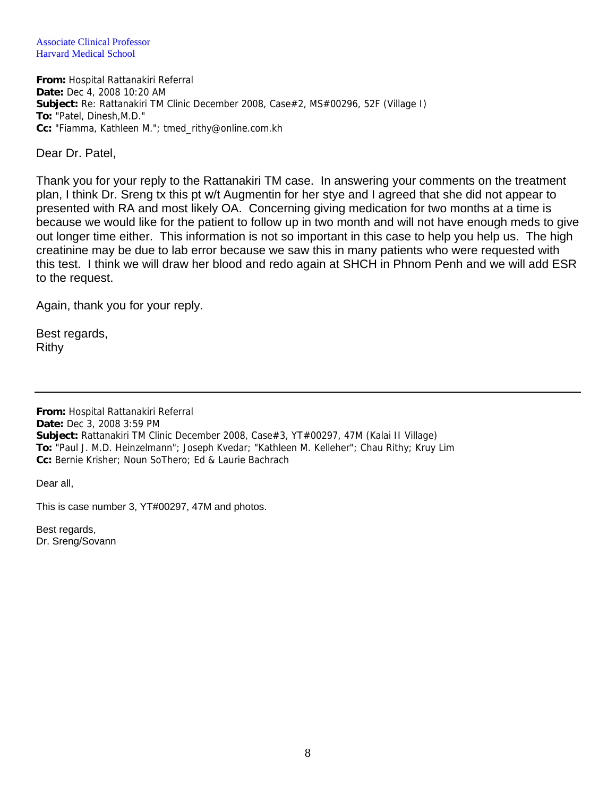Associate Clinical Professor Harvard Medical School

**From:** Hospital Rattanakiri Referral **Date:** Dec 4, 2008 10:20 AM **Subject:** Re: Rattanakiri TM Clinic December 2008, Case#2, MS#00296, 52F (Village I) **To:** "Patel, Dinesh,M.D." **Cc:** "Fiamma, Kathleen M."; tmed\_rithy@online.com.kh

Dear Dr. Patel,

Thank you for your reply to the Rattanakiri TM case. In answering your comments on the treatment plan, I think Dr. Sreng tx this pt w/t Augmentin for her stye and I agreed that she did not appear to presented with RA and most likely OA. Concerning giving medication for two months at a time is because we would like for the patient to follow up in two month and will not have enough meds to give out longer time either. This information is not so important in this case to help you help us. The high creatinine may be due to lab error because we saw this in many patients who were requested with this test. I think we will draw her blood and redo again at SHCH in Phnom Penh and we will add ESR to the request.

Again, thank you for your reply.

Best regards, Rithy

**From:** Hospital Rattanakiri Referral **Date:** Dec 3, 2008 3:59 PM **Subject:** Rattanakiri TM Clinic December 2008, Case#3, YT#00297, 47M (Kalai II Village) **To:** "Paul J. M.D. Heinzelmann"; Joseph Kvedar; "Kathleen M. Kelleher"; Chau Rithy; Kruy Lim **Cc:** Bernie Krisher; Noun SoThero; Ed & Laurie Bachrach

Dear all,

This is case number 3, YT#00297, 47M and photos.

Best regards, Dr. Sreng/Sovann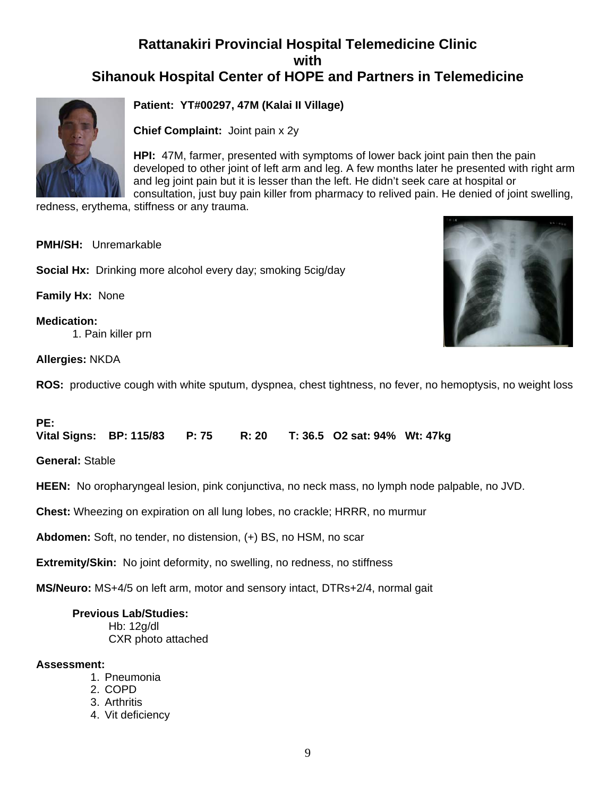### **Rattanakiri Provincial Hospital Telemedicine Clinic with Sihanouk Hospital Center of HOPE and Partners in Telemedicine**



**Patient: YT#00297, 47M (Kalai II Village)**

**Chief Complaint:** Joint pain x 2y

**HPI:** 47M, farmer, presented with symptoms of lower back joint pain then the pain developed to other joint of left arm and leg. A few months later he presented with right arm and leg joint pain but it is lesser than the left. He didn't seek care at hospital or consultation, just buy pain killer from pharmacy to relived pain. He denied of joint swelling,

redness, erythema, stiffness or any trauma.

**PMH/SH:** Unremarkable

**Social Hx:** Drinking more alcohol every day; smoking 5cig/day

**Family Hx:** None

**Medication:** 1. Pain killer prn



**Allergies:** NKDA

**ROS:** productive cough with white sputum, dyspnea, chest tightness, no fever, no hemoptysis, no weight loss

#### **PE:**

**Vital Signs: BP: 115/83 P: 75 R: 20 T: 36.5 O2 sat: 94% Wt: 47kg** 

**General:** Stable

**HEEN:** No oropharyngeal lesion, pink conjunctiva, no neck mass, no lymph node palpable, no JVD.

**Chest:** Wheezing on expiration on all lung lobes, no crackle; HRRR, no murmur

**Abdomen:** Soft, no tender, no distension, (+) BS, no HSM, no scar

**Extremity/Skin:** No joint deformity, no swelling, no redness, no stiffness

**MS/Neuro:** MS+4/5 on left arm, motor and sensory intact, DTRs+2/4, normal gait

#### **Previous Lab/Studies:**

 Hb: 12g/dl CXR photo attached

#### **Assessment:**

- 1. Pneumonia
- 2. COPD
- 3. Arthritis
- 4. Vit deficiency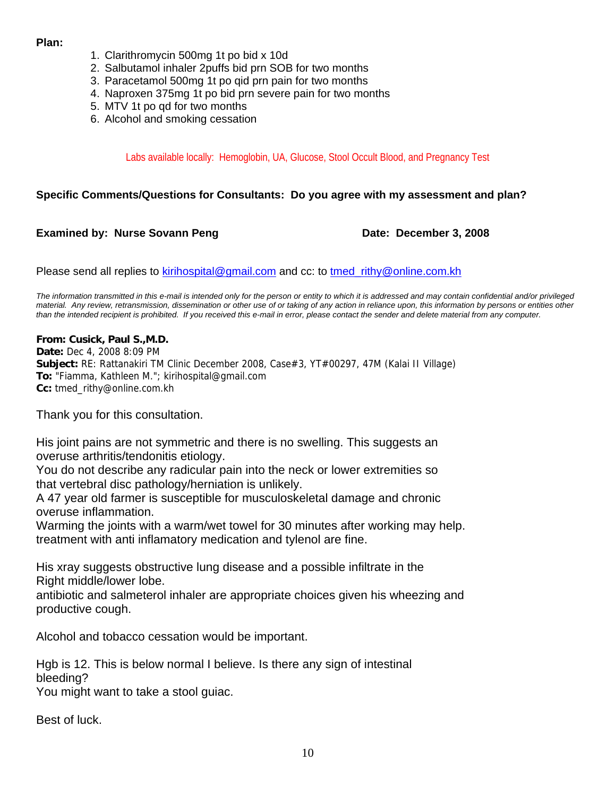#### **Plan:**

- 1. Clarithromycin 500mg 1t po bid x 10d
- 2. Salbutamol inhaler 2puffs bid prn SOB for two months
- 3. Paracetamol 500mg 1t po qid prn pain for two months
- 4. Naproxen 375mg 1t po bid prn severe pain for two months
- 5. MTV 1t po qd for two months
- 6. Alcohol and smoking cessation

#### Labs available locally: Hemoglobin, UA, Glucose, Stool Occult Blood, and Pregnancy Test

#### **Specific Comments/Questions for Consultants: Do you agree with my assessment and plan?**

#### **Examined by: Nurse Sovann Peng Date: December 3, 2008**

Please send all replies to [kirihospital@gmail.com](mailto:kirihospital@gmail.com) and cc: to tmed rithy@online.com.kh

*The information transmitted in this e-mail is intended only for the person or entity to which it is addressed and may contain confidential and/or privileged material. Any review, retransmission, dissemination or other use of or taking of any action in reliance upon, this information by persons or entities other than the intended recipient is prohibited. If you received this e-mail in error, please contact the sender and delete material from any computer.*

#### **From: Cusick, Paul S.,M.D.**

**Date:** Dec 4, 2008 8:09 PM **Subject:** RE: Rattanakiri TM Clinic December 2008, Case#3, YT#00297, 47M (Kalai II Village) **To:** "Fiamma, Kathleen M."; kirihospital@gmail.com **Cc:** tmed\_rithy@online.com.kh

Thank you for this consultation.

His joint pains are not symmetric and there is no swelling. This suggests an overuse arthritis/tendonitis etiology.

You do not describe any radicular pain into the neck or lower extremities so that vertebral disc pathology/herniation is unlikely.

A 47 year old farmer is susceptible for musculoskeletal damage and chronic overuse inflammation.

Warming the joints with a warm/wet towel for 30 minutes after working may help. treatment with anti inflamatory medication and tylenol are fine.

His xray suggests obstructive lung disease and a possible infiltrate in the Right middle/lower lobe.

antibiotic and salmeterol inhaler are appropriate choices given his wheezing and productive cough.

Alcohol and tobacco cessation would be important.

Hgb is 12. This is below normal I believe. Is there any sign of intestinal bleeding?

You might want to take a stool guiac.

Best of luck.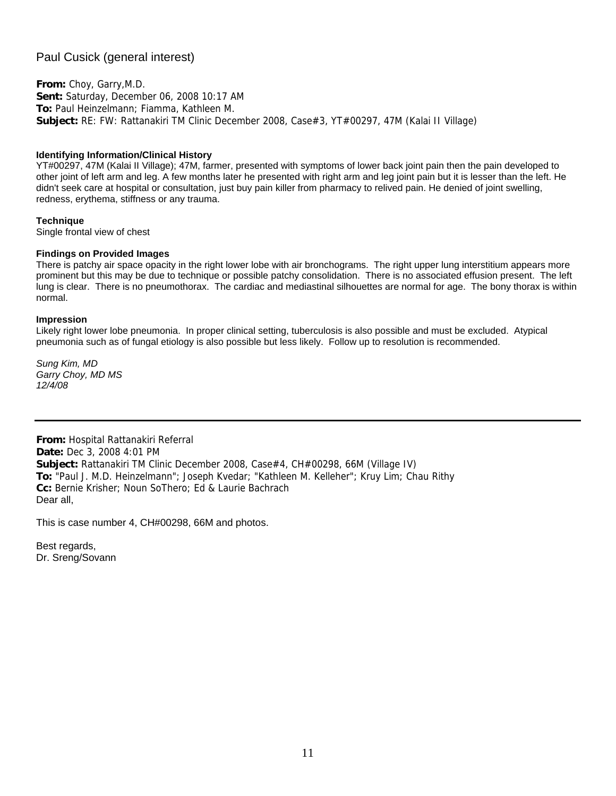### Paul Cusick (general interest)

**From:** Choy, Garry,M.D. **Sent:** Saturday, December 06, 2008 10:17 AM **To:** Paul Heinzelmann; Fiamma, Kathleen M. **Subject:** RE: FW: Rattanakiri TM Clinic December 2008, Case#3, YT#00297, 47M (Kalai II Village)

#### **Identifying Information/Clinical History**

YT#00297, 47M (Kalai II Village); 47M, farmer, presented with symptoms of lower back joint pain then the pain developed to other joint of left arm and leg. A few months later he presented with right arm and leg joint pain but it is lesser than the left. He didn't seek care at hospital or consultation, just buy pain killer from pharmacy to relived pain. He denied of joint swelling, redness, erythema, stiffness or any trauma.

#### **Technique**

Single frontal view of chest

#### **Findings on Provided Images**

There is patchy air space opacity in the right lower lobe with air bronchograms. The right upper lung interstitium appears more prominent but this may be due to technique or possible patchy consolidation. There is no associated effusion present. The left lung is clear. There is no pneumothorax. The cardiac and mediastinal silhouettes are normal for age. The bony thorax is within normal.

#### **Impression**

Likely right lower lobe pneumonia. In proper clinical setting, tuberculosis is also possible and must be excluded. Atypical pneumonia such as of fungal etiology is also possible but less likely. Follow up to resolution is recommended.

*Sung Kim, MD Garry Choy, MD MS 12/4/08*

**From:** Hospital Rattanakiri Referral **Date:** Dec 3, 2008 4:01 PM **Subject:** Rattanakiri TM Clinic December 2008, Case#4, CH#00298, 66M (Village IV) **To:** "Paul J. M.D. Heinzelmann"; Joseph Kvedar; "Kathleen M. Kelleher"; Kruy Lim; Chau Rithy **Cc:** Bernie Krisher; Noun SoThero; Ed & Laurie Bachrach Dear all,

This is case number 4, CH#00298, 66M and photos.

Best regards, Dr. Sreng/Sovann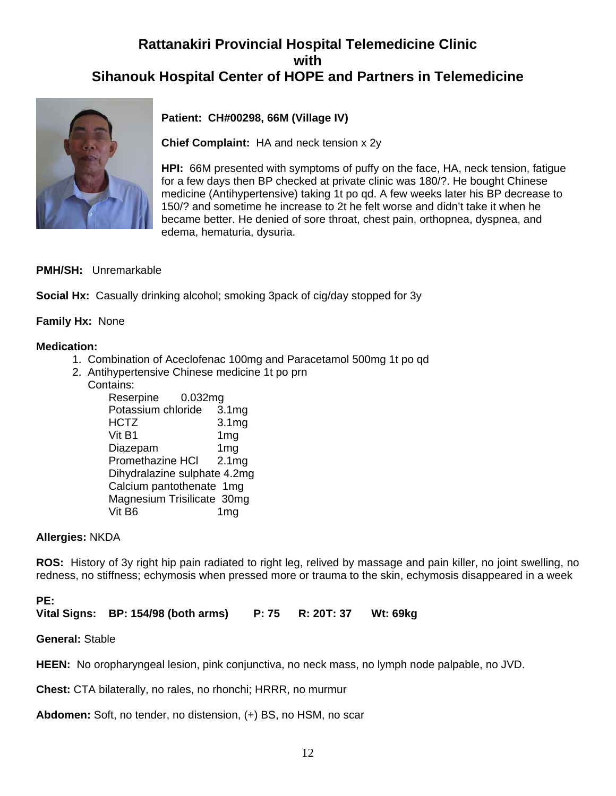## **Rattanakiri Provincial Hospital Telemedicine Clinic with Sihanouk Hospital Center of HOPE and Partners in Telemedicine**



### **Patient: CH#00298, 66M (Village IV)**

**Chief Complaint:** HA and neck tension x 2y

**HPI:** 66M presented with symptoms of puffy on the face, HA, neck tension, fatigue for a few days then BP checked at private clinic was 180/?. He bought Chinese medicine (Antihypertensive) taking 1t po qd. A few weeks later his BP decrease to 150/? and sometime he increase to 2t he felt worse and didn't take it when he became better. He denied of sore throat, chest pain, orthopnea, dyspnea, and edema, hematuria, dysuria.

### **PMH/SH:** Unremarkable

**Social Hx:** Casually drinking alcohol; smoking 3pack of cig/day stopped for 3y

### **Family Hx:** None

#### **Medication:**

- 1. Combination of Aceclofenac 100mg and Paracetamol 500mg 1t po qd
- 2. Antihypertensive Chinese medicine 1t po prn Contains:

| Reserpine<br>0.032mg         |                   |
|------------------------------|-------------------|
| Potassium chloride           | 3.1 <sub>mg</sub> |
| <b>HCTZ</b>                  | 3.1 <sub>mg</sub> |
| Vit B1                       | 1 <sub>mg</sub>   |
| Diazepam                     | 1mg               |
| Promethazine HCI             | 2.1mg             |
| Dihydralazine sulphate 4.2mg |                   |
| Calcium pantothenate 1mg     |                   |
| Magnesium Trisilicate 30mg   |                   |
| Vit B6                       | 1mg               |

#### **Allergies:** NKDA

**ROS:** History of 3y right hip pain radiated to right leg, relived by massage and pain killer, no joint swelling, no redness, no stiffness; echymosis when pressed more or trauma to the skin, echymosis disappeared in a week

#### **PE:**

Vital Signs: BP: 154/98 (both arms) P: 75 R: 20T: 37 Wt: 69kg

#### **General:** Stable

**HEEN:** No oropharyngeal lesion, pink conjunctiva, no neck mass, no lymph node palpable, no JVD.

**Chest:** CTA bilaterally, no rales, no rhonchi; HRRR, no murmur

**Abdomen:** Soft, no tender, no distension, (+) BS, no HSM, no scar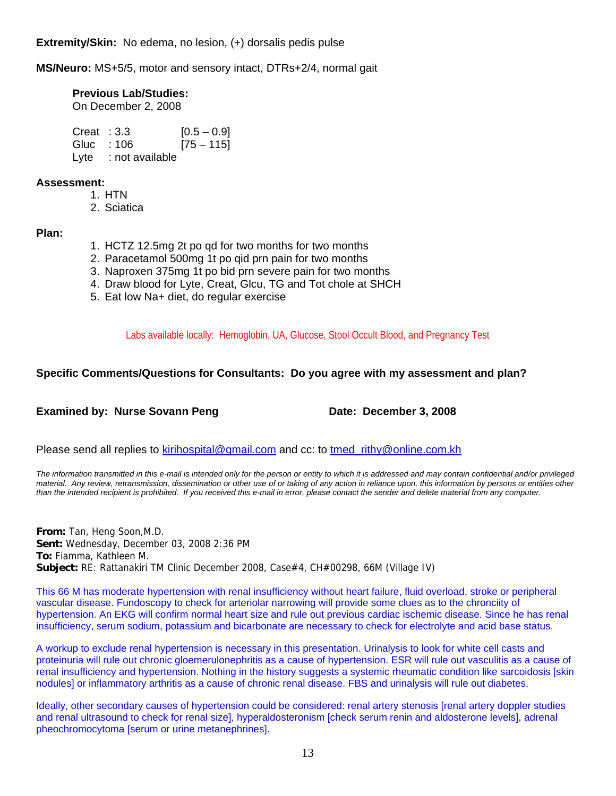**Extremity/Skin:** No edema, no lesion, (+) dorsalis pedis pulse

**MS/Neuro:** MS+5/5, motor and sensory intact, DTRs+2/4, normal gait

**Previous Lab/Studies:** 

On December 2, 2008

| Creat : 3.3  |                      | $[0.5 - 0.9]$ |
|--------------|----------------------|---------------|
| Gluc : $106$ |                      | $[75 - 115]$  |
|              | Lyte : not available |               |

#### **Assessment:**

- 1. HTN
- 2. Sciatica

#### **Plan:**

- 1. HCTZ 12.5mg 2t po qd for two months for two months
- 2. Paracetamol 500mg 1t po qid prn pain for two months
- 3. Naproxen 375mg 1t po bid prn severe pain for two months
- 4. Draw blood for Lyte, Creat, Glcu, TG and Tot chole at SHCH
- 5. Eat low Na+ diet, do regular exercise

Labs available locally: Hemoglobin, UA, Glucose, Stool Occult Blood, and Pregnancy Test

### **Specific Comments/Questions for Consultants: Do you agree with my assessment and plan?**

### **Examined by: Nurse Sovann Peng Case Constrained By: Nurse Sovann Peng Constrained Date: December 3, 2008**

Please send all replies to [kirihospital@gmail.com](mailto:kirihospital@gmail.com) and cc: to tmed rithy@online.com.kh

*The information transmitted in this e-mail is intended only for the person or entity to which it is addressed and may contain confidential and/or privileged material. Any review, retransmission, dissemination or other use of or taking of any action in reliance upon, this information by persons or entities other than the intended recipient is prohibited. If you received this e-mail in error, please contact the sender and delete material from any computer.*

**From:** Tan, Heng Soon,M.D. **Sent:** Wednesday, December 03, 2008 2:36 PM **To:** Fiamma, Kathleen M. **Subject:** RE: Rattanakiri TM Clinic December 2008, Case#4, CH#00298, 66M (Village IV)

This 66 M has moderate hypertension with renal insufficiency without heart failure, fluid overload, stroke or peripheral vascular disease. Fundoscopy to check for arteriolar narrowing will provide some clues as to the chronciity of hypertension. An EKG will confirm normal heart size and rule out previous cardiac ischemic disease. Since he has renal insufficiency, serum sodium, potassium and bicarbonate are necessary to check for electrolyte and acid base status.

A workup to exclude renal hypertension is necessary in this presentation. Urinalysis to look for white cell casts and proteinuria will rule out chronic gloemerulonephritis as a cause of hypertension. ESR will rule out vasculitis as a cause of renal insufficiency and hypertension. Nothing in the history suggests a systemic rheumatic condition like sarcoidosis [skin nodules] or inflammatory arthritis as a cause of chronic renal disease. FBS and urinalysis will rule out diabetes.

Ideally, other secondary causes of hypertension could be considered: renal artery stenosis [renal artery doppler studies and renal ultrasound to check for renal size], hyperaldosteronism [check serum renin and aldosterone levels], adrenal pheochromocytoma [serum or urine metanephrines].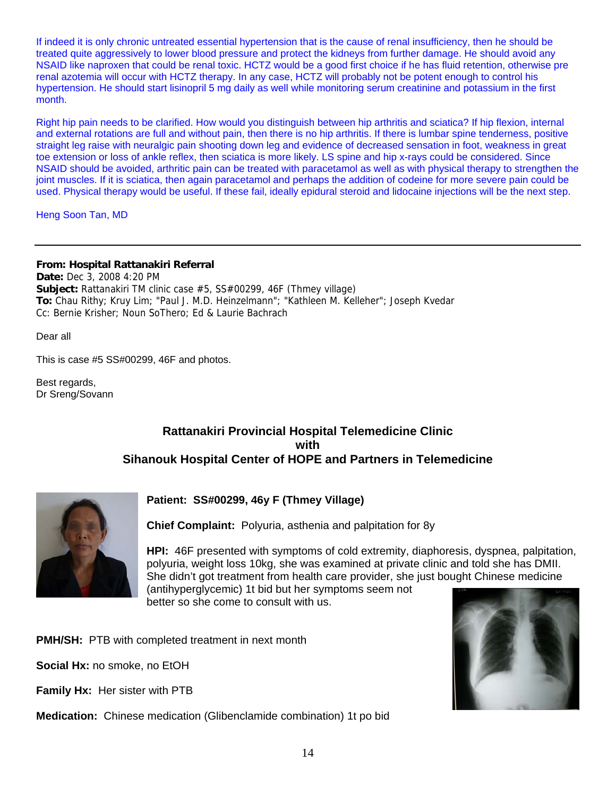If indeed it is only chronic untreated essential hypertension that is the cause of renal insufficiency, then he should be treated quite aggressively to lower blood pressure and protect the kidneys from further damage. He should avoid any NSAID like naproxen that could be renal toxic. HCTZ would be a good first choice if he has fluid retention, otherwise pre renal azotemia will occur with HCTZ therapy. In any case, HCTZ will probably not be potent enough to control his hypertension. He should start lisinopril 5 mg daily as well while monitoring serum creatinine and potassium in the first month.

Right hip pain needs to be clarified. How would you distinguish between hip arthritis and sciatica? If hip flexion, internal and external rotations are full and without pain, then there is no hip arthritis. If there is lumbar spine tenderness, positive straight leg raise with neuralgic pain shooting down leg and evidence of decreased sensation in foot, weakness in great toe extension or loss of ankle reflex, then sciatica is more likely. LS spine and hip x-rays could be considered. Since NSAID should be avoided, arthritic pain can be treated with paracetamol as well as with physical therapy to strengthen the joint muscles. If it is sciatica, then again paracetamol and perhaps the addition of codeine for more severe pain could be used. Physical therapy would be useful. If these fail, ideally epidural steroid and lidocaine injections will be the next step.

Heng Soon Tan, MD

#### **From: Hospital Rattanakiri Referral**

**Date:** Dec 3, 2008 4:20 PM **Subject:** Rattanakiri TM clinic case #5, SS#00299, 46F (Thmey village) **To:** Chau Rithy; Kruy Lim; "Paul J. M.D. Heinzelmann"; "Kathleen M. Kelleher"; Joseph Kvedar Cc: Bernie Krisher; Noun SoThero; Ed & Laurie Bachrach

Dear all

This is case #5 SS#00299, 46F and photos.

Best regards, Dr Sreng/Sovann

### **Rattanakiri Provincial Hospital Telemedicine Clinic with Sihanouk Hospital Center of HOPE and Partners in Telemedicine**



### **Patient: SS#00299, 46y F (Thmey Village)**

**Chief Complaint:** Polyuria, asthenia and palpitation for 8y

**HPI:** 46F presented with symptoms of cold extremity, diaphoresis, dyspnea, palpitation, polyuria, weight loss 10kg, she was examined at private clinic and told she has DMII. She didn't got treatment from health care provider, she just bought Chinese medicine (antihyperglycemic) 1t bid but her symptoms seem not better so she come to consult with us.

**PMH/SH:** PTB with completed treatment in next month

**Social Hx:** no smoke, no EtOH

**Family Hx:** Her sister with PTB

**Medication:** Chinese medication (Glibenclamide combination) 1t po bid

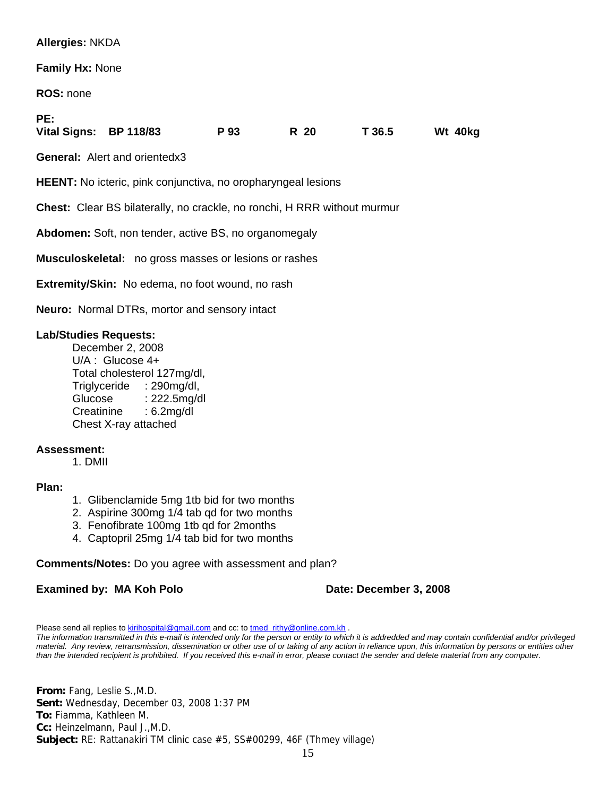#### **Allergies:** NKDA

**Family Hx:** None

**ROS:** none

**PE:** 

| .                      |      |      |        |         |
|------------------------|------|------|--------|---------|
| Vital Signs: BP 118/83 | P 93 | R 20 | T 36.5 | Wt 40kg |

**General:** Alert and orientedx3

**HEENT:** No icteric, pink conjunctiva, no oropharyngeal lesions

**Chest:** Clear BS bilaterally, no crackle, no ronchi, H RRR without murmur

**Abdomen:** Soft, non tender, active BS, no organomegaly

**Musculoskeletal:** no gross masses or lesions or rashes

**Extremity/Skin:** No edema, no foot wound, no rash

**Neuro:** Normal DTRs, mortor and sensory intact

#### **Lab/Studies Requests:**

December 2, 2008 U/A : Glucose 4+ Total cholesterol 127mg/dl, Triglyceride : 290mg/dl, Glucose : 222.5mg/dl Creatinine : 6.2mg/dl Chest X-ray attached

#### **Assessment:**

1. DMII

#### **Plan:**

- 1. Glibenclamide 5mg 1tb bid for two months
- 2. Aspirine 300mg 1/4 tab qd for two months
- 3. Fenofibrate 100mg 1tb qd for 2months
- 4. Captopril 25mg 1/4 tab bid for two months

#### **Comments/Notes:** Do you agree with assessment and plan?

#### **Examined by: MA Koh Polo Date: December 3, 2008**

Please send all replies to **kirihospital@gmail.com** and cc: to [tmed\\_rithy@online.com.kh](mailto:tmed_rithy@bigpond.com.kh) . *The information transmitted in this e-mail is intended only for the person or entity to which it is addredded and may contain confidential and/or privileged material. Any review, retransmission, dissemination or other use of or taking of any action in reliance upon, this information by persons or entities other than the intended recipient is prohibited. If you received this e-mail in error, please contact the sender and delete material from any computer.*

**From:** Fang, Leslie S.,M.D. **Sent:** Wednesday, December 03, 2008 1:37 PM **To:** Fiamma, Kathleen M. **Cc:** Heinzelmann, Paul J.,M.D. **Subject:** RE: Rattanakiri TM clinic case #5, SS#00299, 46F (Thmey village)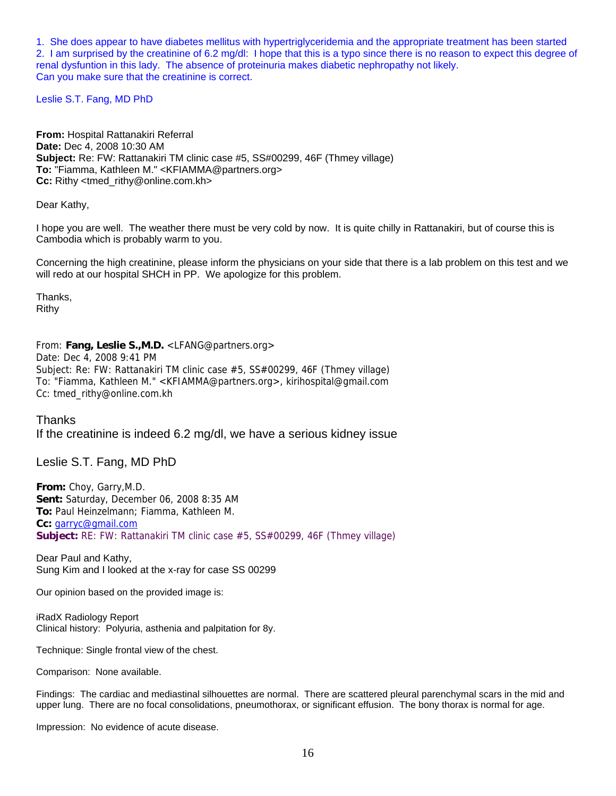1. She does appear to have diabetes mellitus with hypertriglyceridemia and the appropriate treatment has been started 2. I am surprised by the creatinine of 6.2 mg/dl: I hope that this is a typo since there is no reason to expect this degree of renal dysfuntion in this lady. The absence of proteinuria makes diabetic nephropathy not likely. Can you make sure that the creatinine is correct.

Leslie S.T. Fang, MD PhD

**From:** Hospital Rattanakiri Referral **Date:** Dec 4, 2008 10:30 AM **Subject:** Re: FW: Rattanakiri TM clinic case #5, SS#00299, 46F (Thmey village) **To:** "Fiamma, Kathleen M." <KFIAMMA@partners.org> **Cc:** Rithy <tmed\_rithy@online.com.kh>

Dear Kathy,

I hope you are well. The weather there must be very cold by now. It is quite chilly in Rattanakiri, but of course this is Cambodia which is probably warm to you.

Concerning the high creatinine, please inform the physicians on your side that there is a lab problem on this test and we will redo at our hospital SHCH in PP. We apologize for this problem.

Thanks, Rithy

From: **Fang, Leslie S.,M.D.** <LFANG@partners.org> Date: Dec 4, 2008 9:41 PM Subject: Re: FW: Rattanakiri TM clinic case #5, SS#00299, 46F (Thmey village) To: "Fiamma, Kathleen M." <KFIAMMA@partners.org>, kirihospital@gmail.com Cc: tmed\_rithy@online.com.kh

Thanks If the creatinine is indeed 6.2 mg/dl, we have a serious kidney issue

Leslie S.T. Fang, MD PhD

**From:** Choy, Garry,M.D. **Sent:** Saturday, December 06, 2008 8:35 AM **To:** Paul Heinzelmann; Fiamma, Kathleen M. **Cc:** [garryc@gmail.com](mailto:garryc@gmail.com) **Subject:** RE: FW: Rattanakiri TM clinic case #5, SS#00299, 46F (Thmey village)

Dear Paul and Kathy, Sung Kim and I looked at the x-ray for case SS 00299

Our opinion based on the provided image is:

iRadX Radiology Report Clinical history: Polyuria, asthenia and palpitation for 8y.

Technique: Single frontal view of the chest.

Comparison: None available.

Findings: The cardiac and mediastinal silhouettes are normal. There are scattered pleural parenchymal scars in the mid and upper lung. There are no focal consolidations, pneumothorax, or significant effusion. The bony thorax is normal for age.

Impression: No evidence of acute disease.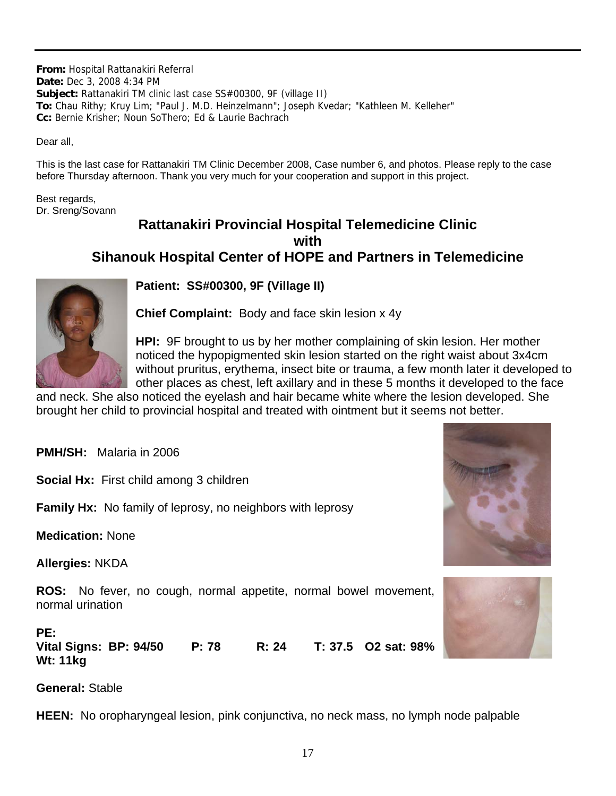**From:** Hospital Rattanakiri Referral **Date:** Dec 3, 2008 4:34 PM **Subject:** Rattanakiri TM clinic last case SS#00300, 9F (village II) **To:** Chau Rithy; Kruy Lim; "Paul J. M.D. Heinzelmann"; Joseph Kvedar; "Kathleen M. Kelleher" **Cc:** Bernie Krisher; Noun SoThero; Ed & Laurie Bachrach

Dear all,

This is the last case for Rattanakiri TM Clinic December 2008, Case number 6, and photos. Please reply to the case before Thursday afternoon. Thank you very much for your cooperation and support in this project.

Best regards, Dr. Sreng/Sovann

### **Rattanakiri Provincial Hospital Telemedicine Clinic with Sihanouk Hospital Center of HOPE and Partners in Telemedicine**



**Patient: SS#00300, 9F (Village II)**

**Chief Complaint:** Body and face skin lesion x 4y

**HPI:** 9F brought to us by her mother complaining of skin lesion. Her mother noticed the hypopigmented skin lesion started on the right waist about 3x4cm without pruritus, erythema, insect bite or trauma, a few month later it developed to other places as chest, left axillary and in these 5 months it developed to the face

and neck. She also noticed the eyelash and hair became white where the lesion developed. She brought her child to provincial hospital and treated with ointment but it seems not better.

**PMH/SH:** Malaria in 2006

**Social Hx:** First child among 3 children

**Family Hx:** No family of leprosy, no neighbors with leprosy

**Medication:** None

**Allergies:** NKDA

**ROS:** No fever, no cough, normal appetite, normal bowel movement, normal urination

**PE: Vital Signs: BP: 94/50 P: 78 R: 24 T: 37.5 O2 sat: 98% Wt: 11kg** 

### **General:** Stable

**HEEN:** No oropharyngeal lesion, pink conjunctiva, no neck mass, no lymph node palpable



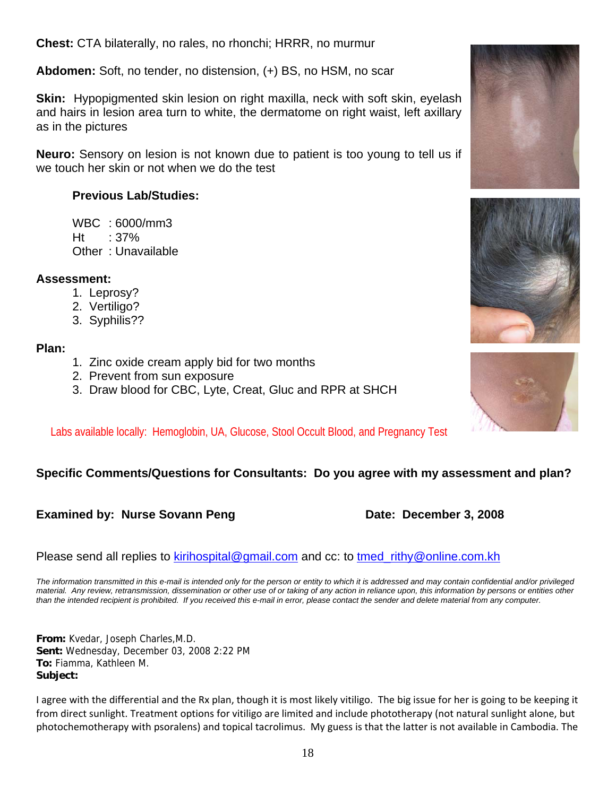**Chest:** CTA bilaterally, no rales, no rhonchi; HRRR, no murmur

**Abdomen:** Soft, no tender, no distension, (+) BS, no HSM, no scar

**Skin:** Hypopigmented skin lesion on right maxilla, neck with soft skin, eyelash and hairs in lesion area turn to white, the dermatome on right waist, left axillary as in the pictures

**Neuro:** Sensory on lesion is not known due to patient is too young to tell us if we touch her skin or not when we do the test

### **Previous Lab/Studies:**

 WBC : 6000/mm3  $Ht = 37%$ Other : Unavailable

### **Assessment:**

- 1. Leprosy?
- 2. Vertiligo?
- 3. Syphilis??

### **Plan:**

- 1. Zinc oxide cream apply bid for two months
- 2. Prevent from sun exposure
- 3. Draw blood for CBC, Lyte, Creat, Gluc and RPR at SHCH

Labs available locally: Hemoglobin, UA, Glucose, Stool Occult Blood, and Pregnancy Test

### **Specific Comments/Questions for Consultants: Do you agree with my assessment and plan?**

### **Examined by: Nurse Sovann Peng Date: December 3, 2008**

Please send all replies to [kirihospital@gmail.com](mailto:kirihospital@gmail.com) and cc: to [tmed\\_rithy@online.com.kh](mailto:tmed_rithy@bigpond.com.kh)

*The information transmitted in this e-mail is intended only for the person or entity to which it is addressed and may contain confidential and/or privileged material. Any review, retransmission, dissemination or other use of or taking of any action in reliance upon, this information by persons or entities other than the intended recipient is prohibited. If you received this e-mail in error, please contact the sender and delete material from any computer.*

**From:** Kvedar, Joseph Charles,M.D. **Sent:** Wednesday, December 03, 2008 2:22 PM **To:** Fiamma, Kathleen M. **Subject:**

I agree with the differential and the Rx plan, though it is most likely vitiligo. The big issue for her is going to be keeping it from direct sunlight. Treatment options for vitiligo are limited and include phototherapy (not natural sunlight alone, but photochemotherapy with psoralens) and topical tacrolimus. My guess is that the latter is not available in Cambodia. The





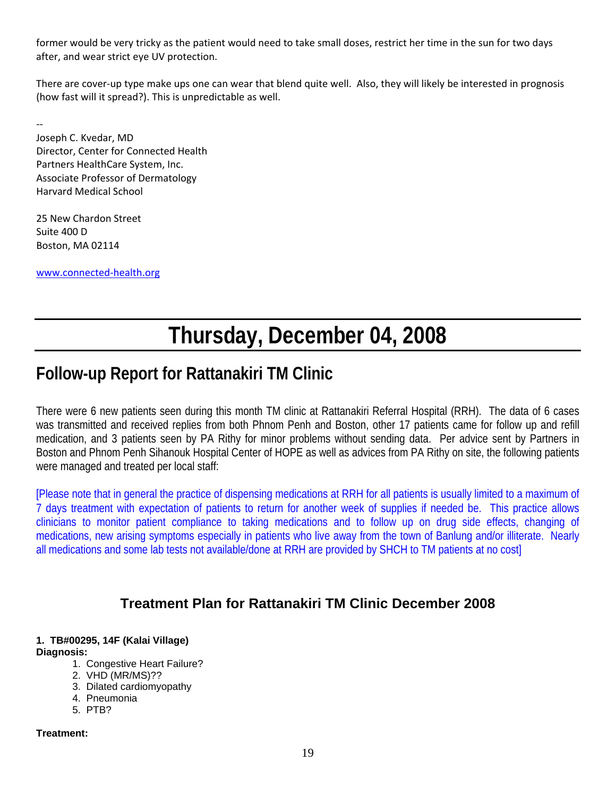former would be very tricky as the patient would need to take small doses, restrict her time in the sun for two days after, and wear strict eye UV protection.

There are cover-up type make ups one can wear that blend quite well. Also, they will likely be interested in prognosis (how fast will it spread?). This is unpredictable as well.

‐‐ Joseph C. Kvedar, MD Director, Center for Connected Health Partners HealthCare System, Inc. Associate Professor of Dermatology Harvard Medical School

25 New Chardon Street Suite 400 D Boston, MA 02114

[www.connected](http://www.connected-health.org/)‐health.org

# **Thursday, December 04, 2008**

## **Follow-up Report for Rattanakiri TM Clinic**

There were 6 new patients seen during this month TM clinic at Rattanakiri Referral Hospital (RRH). The data of 6 cases was transmitted and received replies from both Phnom Penh and Boston, other 17 patients came for follow up and refill medication, and 3 patients seen by PA Rithy for minor problems without sending data. Per advice sent by Partners in Boston and Phnom Penh Sihanouk Hospital Center of HOPE as well as advices from PA Rithy on site, the following patients were managed and treated per local staff:

[Please note that in general the practice of dispensing medications at RRH for all patients is usually limited to a maximum of 7 days treatment with expectation of patients to return for another week of supplies if needed be. This practice allows clinicians to monitor patient compliance to taking medications and to follow up on drug side effects, changing of medications, new arising symptoms especially in patients who live away from the town of Banlung and/or illiterate. Nearly all medications and some lab tests not available/done at RRH are provided by SHCH to TM patients at no cost]

### **Treatment Plan for Rattanakiri TM Clinic December 2008**

#### **1. TB#00295, 14F (Kalai Village) Diagnosis:**

- 1. Congestive Heart Failure?
	- 2. VHD (MR/MS)??
	- 3. Dilated cardiomyopathy
	- 4. Pneumonia
	- 5. PTB?

#### **Treatment:**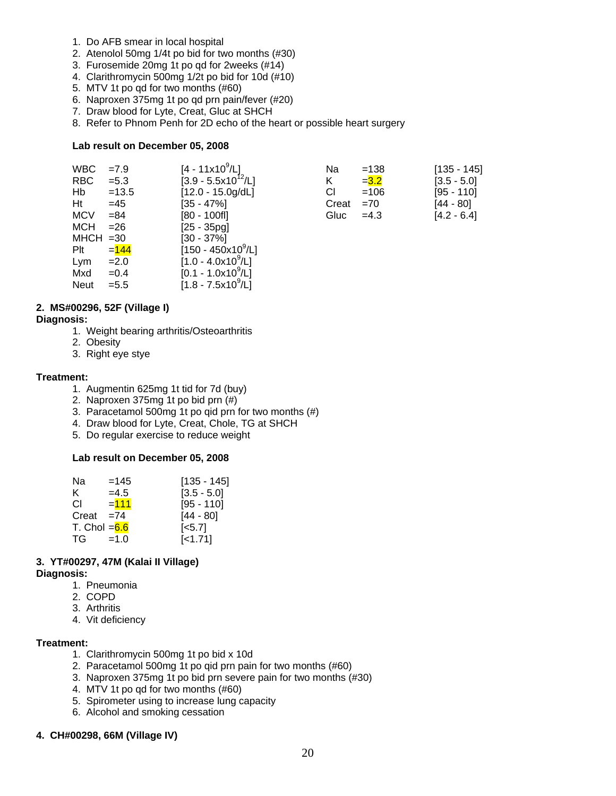- 1. Do AFB smear in local hospital
- 2. Atenolol 50mg 1/4t po bid for two months (#30)
- 3. Furosemide 20mg 1t po qd for 2weeks (#14)
- 4. Clarithromycin 500mg 1/2t po bid for 10d (#10)
- 5. MTV 1t po qd for two months (#60)
- 6. Naproxen 375mg 1t po qd prn pain/fever (#20)
- 7. Draw blood for Lyte, Creat, Gluc at SHCH
- 8. Refer to Phnom Penh for 2D echo of the heart or possible heart surgery

#### **Lab result on December 05, 2008**

| <b>WBC</b>  | $=7.9$  | [4 - 11x10 <sup>9</sup> /L] | Na    | $=138$  | $[135 - 145]$ |
|-------------|---------|-----------------------------|-------|---------|---------------|
| RBC         | $= 5.3$ | $[3.9 - 5.5x10^{12}/L]$     | K     | $= 3.2$ | $[3.5 - 5.0]$ |
| Hb          | $=13.5$ | $[12.0 - 15.0g/dL]$         | СI    | $=106$  | [95 - 110]    |
| Ht          | $=45$   | $[35 - 47\%]$               | Creat | $=70$   | [44 - 80]     |
| <b>MCV</b>  | $= 84$  | $[80 - 100$ fl]             | Gluc  | $=4.3$  | $[4.2 - 6.4]$ |
| <b>MCH</b>  | $= 26$  | $[25 - 35pg]$               |       |         |               |
| $MHCH = 30$ |         | $[30 - 37\%]$               |       |         |               |
| Plt         | $= 144$ | $[150 - 450x10^9/L]$        |       |         |               |
| Lym         | $=2.0$  | $[1.0 - 4.0x10^9/L]$        |       |         |               |
| Mxd         | $=0.4$  | $[0.1 - 1.0x10^9/L]$        |       |         |               |

#### **2. MS#00296, 52F (Village I)**

#### **Diagnosis:**

1. Weight bearing arthritis/Osteoarthritis

Neut = 5.5  $[1.8 - 7.5 \times 10^9/\text{L}]$ 

- 2. Obesity
- 3. Right eye stye

#### **Treatment:**

- 1. Augmentin 625mg 1t tid for 7d (buy)
- 2. Naproxen 375mg 1t po bid prn (#)
- 3. Paracetamol 500mg 1t po qid prn for two months (#)
- 4. Draw blood for Lyte, Creat, Chole, TG at SHCH
- 5. Do regular exercise to reduce weight

#### **Lab result on December 05, 2008**

| Nа             | $=145$  | $[135 - 145]$      |
|----------------|---------|--------------------|
| ĸ.             | $=4.5$  | $[3.5 - 5.0]$      |
| CL.            | $= 111$ | $[95 - 110]$       |
| Creat          | $=74$   | $[44 - 80]$        |
| T. Chol $=6.6$ |         | $\left[5.7\right]$ |
| TG             | $=1.0$  | $[-1.71]$          |

### **3. YT#00297, 47M (Kalai II Village)**

#### **Diagnosis:**

- 1. Pneumonia
- 2. COPD
- 3. Arthritis
- 4. Vit deficiency

#### **Treatment:**

- 1. Clarithromycin 500mg 1t po bid x 10d
- 2. Paracetamol 500mg 1t po qid prn pain for two months (#60)
- 3. Naproxen 375mg 1t po bid prn severe pain for two months (#30)
- 4. MTV 1t po qd for two months (#60)
- 5. Spirometer using to increase lung capacity
- 6. Alcohol and smoking cessation

#### **4. CH#00298, 66M (Village IV)**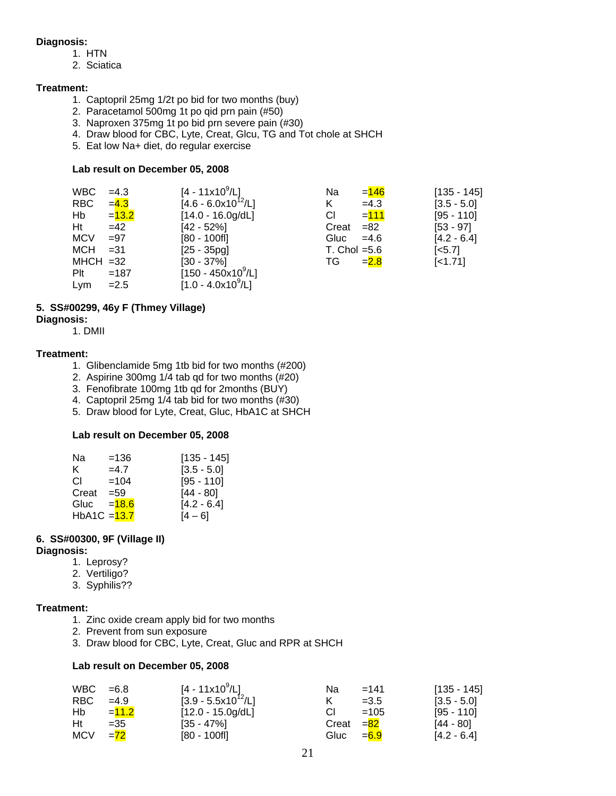#### **Diagnosis:**

- 1. HTN
- 2. Sciatica

#### **Treatment:**

- 1. Captopril 25mg 1/2t po bid for two months (buy)
- 2. Paracetamol 500mg 1t po qid prn pain (#50)
- 3. Naproxen 375mg 1t po bid prn severe pain (#30)
- 4. Draw blood for CBC, Lyte, Creat, Glcu, TG and Tot chole at SHCH
- 5. Eat low Na+ diet, do regular exercise

#### **Lab result on December 05, 2008**

| <b>WBC</b>  | $=4.3$   | $[4 - 11 \times 10^9/L]$ | Na             | $= 146$ | $[135 - 145]$         |
|-------------|----------|--------------------------|----------------|---------|-----------------------|
| RBC         | $= 4.3$  | $[4.6 - 6.0x10^{12}/L]$  | K              | $=4.3$  | $[3.5 - 5.0]$         |
| Hb          | $= 13.2$ | $[14.0 - 16.0g/dL]$      | СI             | $= 111$ | $[95 - 110]$          |
| Ht          | $=42$    | $[42 - 52\%]$            | Creat          | $= 82$  | $[53 - 97]$           |
| <b>MCV</b>  | $=97$    | $[80 - 100$ fl]          | Gluc           | $=4.6$  | $[4.2 - 6.4]$         |
| MCH         | $=31$    | $[25 - 35pg]$            | T. Chol $=5.6$ |         | $\left[ <5.7 \right]$ |
| $MHCH = 32$ |          | $[30 - 37\%]$            | TG.            | $= 2.8$ | $[-1.71]$             |
| Plt         | $=187$   | $[150 - 450x10^9/L]$     |                |         |                       |
| Lym         | $=2.5$   | $[1.0 - 4.0x10^9/L]$     |                |         |                       |

#### **5. SS#00299, 46y F (Thmey Village)**

#### **Diagnosis:**

1. DMII

#### **Treatment:**

- 1. Glibenclamide 5mg 1tb bid for two months (#200)
- 2. Aspirine 300mg 1/4 tab qd for two months (#20)
- 3. Fenofibrate 100mg 1tb qd for 2months (BUY)
- 4. Captopril 25mg 1/4 tab bid for two months (#30)
- 5. Draw blood for Lyte, Creat, Gluc, HbA1C at SHCH

#### **Lab result on December 05, 2008**

| $=136$         | $[135 - 145]$ |
|----------------|---------------|
| $=4.7$         | $[3.5 - 5.0]$ |
| $=104$         | $[95 - 110]$  |
| $= 59$         | $[44 - 80]$   |
| $= 18.6$       | $[4.2 - 6.4]$ |
| HbA1C $=$ 13.7 | $[4 - 6]$     |
|                |               |

#### **6. SS#00300, 9F (Village II)**

#### **Diagnosis:**

- 1. Leprosy?
- 2. Vertiligo?
- 3. Syphilis??

#### **Treatment:**

- 1. Zinc oxide cream apply bid for two months
- 2. Prevent from sun exposure
- 3. Draw blood for CBC, Lyte, Creat, Gluc and RPR at SHCH

| WBC.       | $=6.8$  | $[4 - 11 \times 10^9/L]$ | Nа          | $=141$  | $[135 - 145]$ |
|------------|---------|--------------------------|-------------|---------|---------------|
| RBC.       | $=4.9$  | $[3.9 - 5.5x10^{12}/L]$  | К           | $=3.5$  | $[3.5 - 5.0]$ |
| Hb         | $=11.2$ | $[12.0 - 15.0g/dL]$      |             | $=105$  | $[95 - 110]$  |
| Ht         | $=35$   | $[35 - 47\%]$            | Creat $=82$ |         | [44 - 80]     |
| <b>MCV</b> | $= 72$  | $[80 - 100$ fl]          | Gluc        | $= 6.9$ | $[4.2 - 6.4]$ |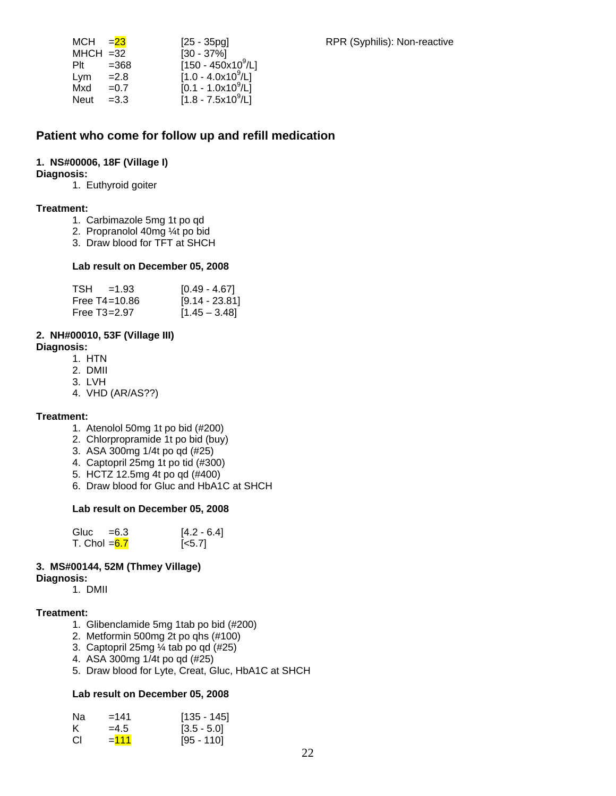| $=23$       | $[25 - 35pg]$                  |
|-------------|--------------------------------|
| $MHCH = 32$ | $[30 - 37\%]$                  |
| $=368$      | [150 - 450x10 <sup>9</sup> /L] |
| $=2.8$      | $[1.0 - 4.0x10^9/L]$           |
| $=0.7$      | $[0.1 - 1.0x10^9/L]$           |
| $=3.3$      | $[1.8 - 7.5x10^9/L]$           |
|             |                                |

### **Patient who come for follow up and refill medication**

#### **1. NS#00006, 18F (Village I)**

#### **Diagnosis:**

1. Euthyroid goiter

#### **Treatment:**

- 1. Carbimazole 5mg 1t po qd
- 2. Propranolol 40mg ¼t po bid
- 3. Draw blood for TFT at SHCH

#### **Lab result on December 05, 2008**

| $TSH = 1.93$      | $[0.49 - 4.67]$  |
|-------------------|------------------|
| Free $T4 = 10.86$ | $[9.14 - 23.81]$ |
| Free $T3 = 2.97$  | $[1.45 - 3.48]$  |

### **2. NH#00010, 53F (Village III)**

**Diagnosis:** 

- 1. HTN
- 2. DMII
- 3. LVH
- 4. VHD (AR/AS??)

#### **Treatment:**

- 1. Atenolol 50mg 1t po bid (#200)
- 2. Chlorpropramide 1t po bid (buy)
- 3. ASA 300mg 1/4t po qd (#25)
- 4. Captopril 25mg 1t po tid (#300)
- 5. HCTZ 12.5mg 4t po qd (#400)
- 6. Draw blood for Gluc and HbA1C at SHCH

#### **Lab result on December 05, 2008**

| Gluc $=6.3$    | $[4.2 - 6.4]$      |
|----------------|--------------------|
| T. Chol $=6.7$ | $\left[5.7\right]$ |

#### **3. MS#00144, 52M (Thmey Village)**

#### **Diagnosis:**

1. DMII

#### **Treatment:**

- 1. Glibenclamide 5mg 1tab po bid (#200)
- 2. Metformin 500mg 2t po qhs (#100)
- 3. Captopril 25mg ¼ tab po qd (#25)
- 4. ASA 300mg 1/4t po qd (#25)
- 5. Draw blood for Lyte, Creat, Gluc, HbA1C at SHCH

| Nа | $=141$  | $[135 - 145]$ |
|----|---------|---------------|
|    | $=4.5$  | $[3.5 - 5.0]$ |
| СI | $= 111$ | $[95 - 110]$  |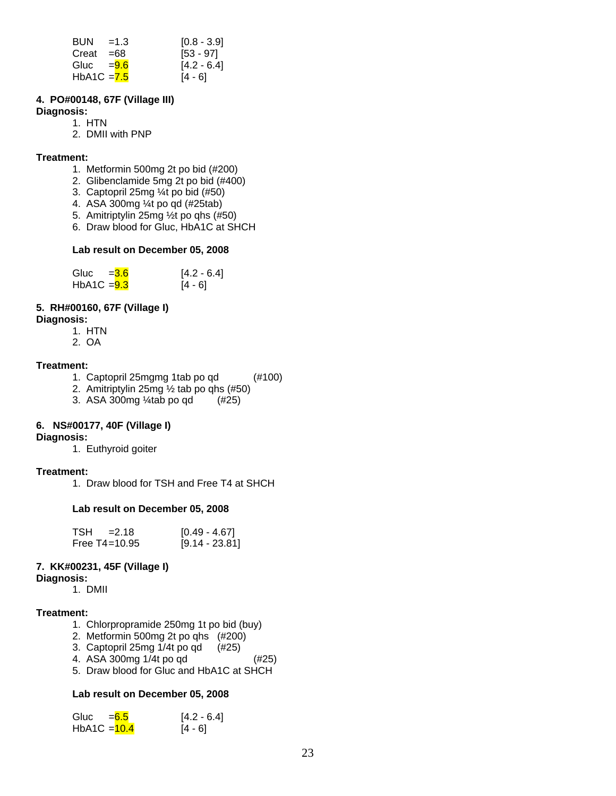| $BUN = 1.3$   | $[0.8 - 3.9]$ |
|---------------|---------------|
| Creat $=68$   | $[53 - 97]$   |
| Gluc $= 9.6$  | $[4.2 - 6.4]$ |
| HbA1C $= 7.5$ | $[4 - 6]$     |

#### **4. PO#00148, 67F (Village III)**

#### **Diagnosis:**

- 1. HTN
	- 2. DMII with PNP

#### **Treatment:**

- 1. Metformin 500mg 2t po bid (#200)
- 2. Glibenclamide 5mg 2t po bid (#400)
- 3. Captopril 25mg ¼t po bid (#50)
- 4. ASA 300mg ¼t po qd (#25tab)
- 5. Amitriptylin 25mg ½t po qhs (#50)
- 6. Draw blood for Gluc, HbA1C at SHCH

#### **Lab result on December 05, 2008**

| Gluc          | $=$ <b>3.6</b> | $[4.2 - 6.4]$ |
|---------------|----------------|---------------|
| $HbA1C = 9.3$ |                | $[4 - 6]$     |

#### **5. RH#00160, 67F (Village I)**

#### **Diagnosis:**

- 1. HTN
- 2. OA

#### **Treatment:**

- 1. Captopril 25mgmg 1tab po qd (#100)
- 2. Amitriptylin 25mg ½ tab po qhs (#50)
- 3. ASA 300mg ¼tab po qd (#25)

#### **6. NS#00177, 40F (Village I)**

#### **Diagnosis:**

1. Euthyroid goiter

#### **Treatment:**

1. Draw blood for TSH and Free T4 at SHCH

#### **Lab result on December 05, 2008**

| $TSH = 2.18$  | $[0.49 - 4.67]$  |
|---------------|------------------|
| Free T4=10.95 | $[9.14 - 23.81]$ |

#### **7. KK#00231, 45F (Village I)**

**Diagnosis:**

1. DMII

#### **Treatment:**

- 1. Chlorpropramide 250mg 1t po bid (buy)
- 2. Metformin 500mg 2t po qhs (#200)
- 3. Captopril 25mg 1/4t po qd (#25)
- 4. ASA 300mg 1/4t po qd (#25)
- 5. Draw blood for Gluc and HbA1C at SHCH

| Gluc           | $= 6.5$ | $[4.2 - 6.4]$ |
|----------------|---------|---------------|
| HbA1C $=$ 10.4 |         | $[4 - 6]$     |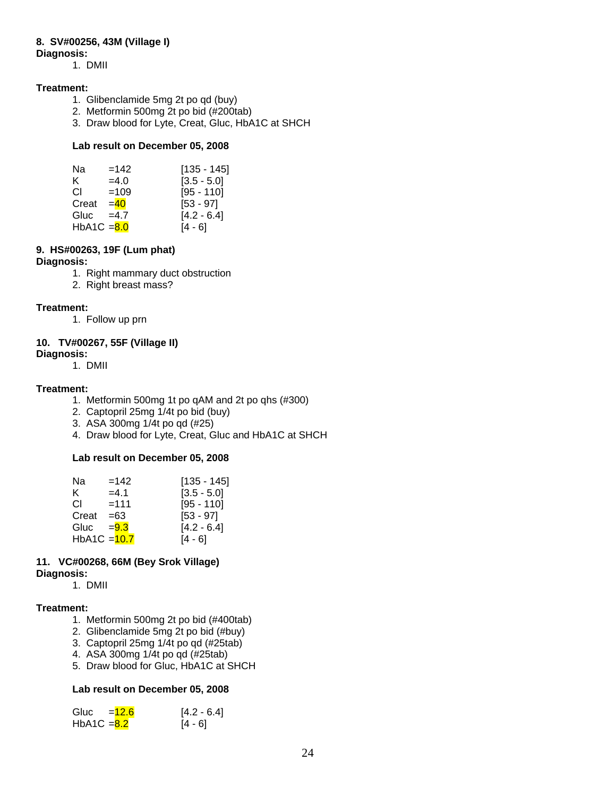#### **8. SV#00256, 43M (Village I)**

#### **Diagnosis:**

1. DMII

#### **Treatment:**

- 1. Glibenclamide 5mg 2t po qd (buy)
- 2. Metformin 500mg 2t po bid (#200tab)
- 3. Draw blood for Lyte, Creat, Gluc, HbA1C at SHCH

#### **Lab result on December 05, 2008**

| Na            | $=142$ | $[135 - 145]$ |
|---------------|--------|---------------|
| K.            | $=4.0$ | $[3.5 - 5.0]$ |
| CL.           | $=109$ | $[95 - 110]$  |
| Creat         | $=40$  | $[53 - 97]$   |
| Gluc          | $=4.7$ | $[4.2 - 6.4]$ |
| HbA1C $= 8.0$ |        | [4 - 6]       |

#### **9. HS#00263, 19F (Lum phat)**

#### **Diagnosis:**

- 1. Right mammary duct obstruction
- 2. Right breast mass?

#### **Treatment:**

1. Follow up prn

#### **10. TV#00267, 55F (Village II) Diagnosis:**

1. DMII

#### **Treatment:**

- 1. Metformin 500mg 1t po qAM and 2t po qhs (#300)
- 2. Captopril 25mg 1/4t po bid (buy)
- 3. ASA 300mg 1/4t po qd (#25)
- 4. Draw blood for Lyte, Creat, Gluc and HbA1C at SHCH

#### **Lab result on December 05, 2008**

| Na             | $=142$  | $[135 - 145]$ |
|----------------|---------|---------------|
| K.             | $=4.1$  | $[3.5 - 5.0]$ |
| CL.            | $=111$  | $[95 - 110]$  |
| Creat          | $=63$   | $[53 - 97]$   |
| Gluc           | $= 9.3$ | $[4.2 - 6.4]$ |
| HbA1C = $10.7$ |         | [4 - 6]       |

#### **11. VC#00268, 66M (Bey Srok Village) Diagnosis:**

1. DMII

#### **Treatment:**

- 1. Metformin 500mg 2t po bid (#400tab)
- 2. Glibenclamide 5mg 2t po bid (#buy)
- 3. Captopril 25mg 1/4t po qd (#25tab)
- 4. ASA 300mg 1/4t po qd (#25tab)
- 5. Draw blood for Gluc, HbA1C at SHCH

| Gluc          | $=12.6$ | $[4.2 - 6.4]$ |
|---------------|---------|---------------|
| HbA1C $= 8.2$ |         | $[4 - 6]$     |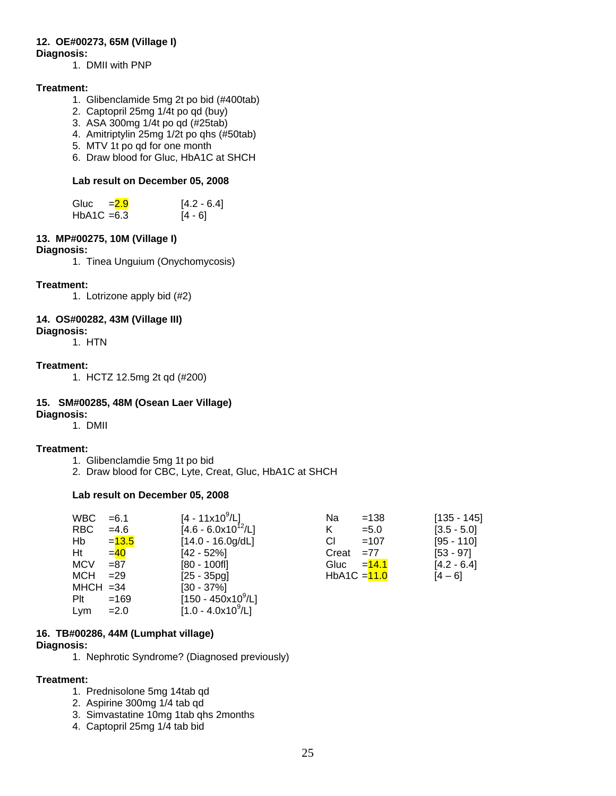#### **12. OE#00273, 65M (Village I)**

#### **Diagnosis:**

1. DMII with PNP

#### **Treatment:**

- 1. Glibenclamide 5mg 2t po bid (#400tab)
- 2. Captopril 25mg 1/4t po qd (buy)
- 3. ASA 300mg 1/4t po qd (#25tab)
- 4. Amitriptylin 25mg 1/2t po qhs (#50tab)
- 5. MTV 1t po qd for one month
- 6. Draw blood for Gluc, HbA1C at SHCH

#### **Lab result on December 05, 2008**

| Gluc          | $= 2.9$ | $[4.2 - 6.4]$ |
|---------------|---------|---------------|
| $HbA1C = 6.3$ |         | $[4 - 6]$     |

### **13. MP#00275, 10M (Village I)**

#### **Diagnosis:**

1. Tinea Unguium (Onychomycosis)

#### **Treatment:**

1. Lotrizone apply bid (#2)

#### **14. OS#00282, 43M (Village III)**

**Diagnosis:**  1. HTN

#### **Treatment:**

1. HCTZ 12.5mg 2t qd (#200)

#### **15. SM#00285, 48M (Osean Laer Village)**

**Diagnosis:**  1. DMII

#### **Treatment:**

- 1. Glibenclamdie 5mg 1t po bid
- 2. Draw blood for CBC, Lyte, Creat, Gluc, HbA1C at SHCH

#### **Lab result on December 05, 2008**

| <b>WBC</b>  | $= 6.1$  | $[4 - 11 \times 10^9 / L]$ | Na             | $=138$   | $[135 - 145]$ |
|-------------|----------|----------------------------|----------------|----------|---------------|
| RBC         | $=4.6$   | $[4.6 - 6.0x10^{12}/L]$    | Κ              | $= 5.0$  | $[3.5 - 5.0]$ |
| Hb          | $= 13.5$ | $[14.0 - 16.0g/dL]$        | CI             | $=107$   | $[95 - 110]$  |
| Ht          | $=$ 40   | $[42 - 52%]$               | Creat          | $=77$    | $[53 - 97]$   |
| <b>MCV</b>  | $= 87$   | $[80 - 100$ fl]            | Gluc           | $= 14.1$ | $[4.2 - 6.4]$ |
| <b>MCH</b>  | $=29$    | $[25 - 35pg]$              | HbA1C $=$ 11.0 |          | $[4 - 6]$     |
| $MHCH = 34$ |          | $[30 - 37\%]$              |                |          |               |
| Plt         | $=169$   | $[150 - 450x10^9/L]$       |                |          |               |
| Lym         | $=2.0$   | $[1.0 - 4.0x10^9/L]$       |                |          |               |

#### **16. TB#00286, 44M (Lumphat village)**

#### **Diagnosis:**

1. Nephrotic Syndrome? (Diagnosed previously)

#### **Treatment:**

- 1. Prednisolone 5mg 14tab qd
- 2. Aspirine 300mg 1/4 tab qd
- 3. Simvastatine 10mg 1tab qhs 2months
- 4. Captopril 25mg 1/4 tab bid